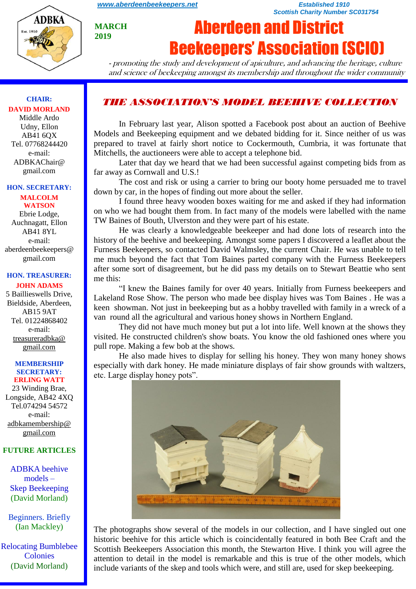

**MARCH 2019**

#### *[www.aberdeenbeekeepers.net](http://www.aberdeenbeekeepers.net/) Established 1910 Scottish Charity Number SC031754*

# Aberdeen and District Beekeepers' Association (SCIO)

- promoting the study and development of apiculture, and advancing the heritage, culture and science of beekeeping amongst its membership and throughout the wider community

## *THE ASSOCIATION'S MODEL BEEHIVE COLLECTION*

In February last year, Alison spotted a Facebook post about an auction of Beehive Models and Beekeeping equipment and we debated bidding for it. Since neither of us was prepared to travel at fairly short notice to Cockermouth, Cumbria, it was fortunate that Mitchells, the auctioneers were able to accept a telephone bid.

Later that day we heard that we had been successful against competing bids from as far away as Cornwall and U.S.!

The cost and risk or using a carrier to bring our booty home persuaded me to travel down by car, in the hopes of finding out more about the seller.

I found three heavy wooden boxes waiting for me and asked if they had information on who we had bought them from. In fact many of the models were labelled with the name TW Baines of Bouth, Ulverston and they were part of his estate.

He was clearly a knowledgeable beekeeper and had done lots of research into the history of the beehive and beekeeping. Amongst some papers I discovered a leaflet about the Furness Beekeepers, so contacted David Walmsley, the current Chair. He was unable to tell me much beyond the fact that Tom Baines parted company with the Furness Beekeepers after some sort of disagreement, but he did pass my details on to Stewart Beattie who sent me this:

"I knew the Baines family for over 40 years. Initially from Furness beekeepers and Lakeland Rose Show. The person who made bee display hives was Tom Baines . He was a keen showman. Not just in beekeeping but as a hobby travelled with family in a wreck of a van round all the agricultural and various honey shows in Northern England.

They did not have much money but put a lot into life. Well known at the shows they visited. He constructed children's show boats. You know the old fashioned ones where you pull rope. Making a few bob at the shows.

He also made hives to display for selling his honey. They won many honey shows especially with dark honey. He made miniature displays of fair show grounds with waltzers, etc. Large display honey pots".



The photographs show several of the models in our collection, and I have singled out one historic beehive for this article which is coincidentally featured in both Bee Craft and the Scottish Beekeepers Association this month, the Stewarton Hive. I think you will agree the attention to detail in the model is remarkable and this is true of the other models, which include variants of the skep and tools which were, and still are, used for skep beekeeping.

**CHAIR: DAVID MORLAND** Middle Ardo

Udny, Ellon AB41 6QX Tel. 07768244420 e-mail: ADBKAChair@ gmail.com

#### **HON. SECRETARY:**

**MALCOLM WATSON** Ebrie Lodge, Auchnagatt, Ellon AB41 8YL e-mail: aberdeenbeekeepers@ gmail.com

#### **HON. TREASURER: JOHN ADAMS**

5 Baillieswells Drive, Bieldside, Aberdeen, AB15 9AT Tel. 01224868402 e-mail: [treasureradbka@](https://e.mail.ru/compose/?mailto=mailto%3atreasureradbka@gmail.com)  [gmail.com](https://e.mail.ru/compose/?mailto=mailto%3atreasureradbka@gmail.com)

#### **MEMBERSHIP SECRETARY: ERLING WATT**

23 Winding Brae, Longside, AB42 4XQ Tel.074294 54572 e-mail: [adbkamembership@](mailto:watterlingg@aol.com) [gmail.com](mailto:watterlingg@aol.com)

#### **FUTURE ARTICLES**

ADBKA beehive models – Skep Beekeeping (David Morland)

Beginners. Briefly (Ian Mackley)

Relocating Bumblebee Colonies (David Morland)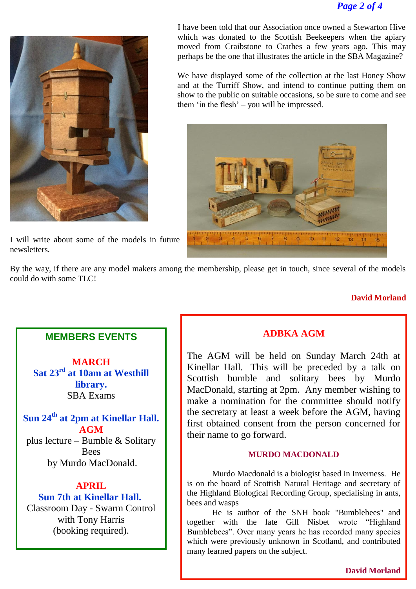## *Page 2 of 4*



I will write about some of the models in future newsletters.

 I have been told that our Association once owned a Stewarton Hive which was donated to the Scottish Beekeepers when the apiary moved from Craibstone to Crathes a few years ago. This may perhaps be the one that illustrates the article in the SBA Magazine?

We have displayed some of the collection at the last Honey Show and at the Turriff Show, and intend to continue putting them on show to the public on suitable occasions, so be sure to come and see them 'in the flesh' – you will be impressed.



By the way, if there are any model makers among the membership, please get in touch, since several of the models could do with some TLC!

#### **David Morland**

## **MEMBERS EVENTS**

**MARCH Sat 23rd at 10am at Westhill library.** SBA Exams

**Sun 24th at 2pm at Kinellar Hall. AGM**  plus lecture – Bumble & Solitary Bees

by Murdo MacDonald.

#### **APRIL**

## **Sun 7th at Kinellar Hall.** Classroom Day - Swarm Control with Tony Harris (booking required).

## **ADBKA AGM**

The AGM will be held on Sunday March 24th at Kinellar Hall. This will be preceded by a talk on Scottish bumble and solitary bees by Murdo MacDonald, starting at 2pm. Any member wishing to make a nomination for the committee should notify the secretary at least a week before the AGM, having first obtained consent from the person concerned for their name to go forward.

#### **MURDO MACDONALD**

Murdo Macdonald is a biologist based in Inverness. He is on the board of Scottish Natural Heritage and secretary of the Highland Biological Recording Group, specialising in ants, bees and wasps

He is author of the SNH book "Bumblebees" and together with the late Gill Nisbet wrote "Highland Bumblebees". Over many years he has recorded many species which were previously unknown in Scotland, and contributed many learned papers on the subject.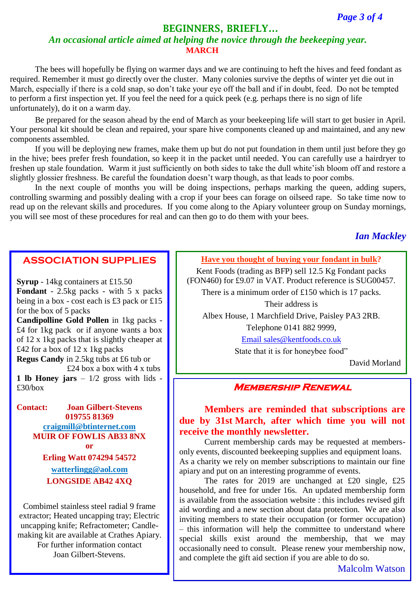## **BEGINNERS, BRIEFLY…**

## *An occasional article aimed at helping the novice through the beekeeping year.* **MARCH**

The bees will hopefully be flying on warmer days and we are continuing to heft the hives and feed fondant as required. Remember it must go directly over the cluster. Many colonies survive the depths of winter yet die out in March, especially if there is a cold snap, so don't take your eye off the ball and if in doubt, feed. Do not be tempted to perform a first inspection yet. If you feel the need for a quick peek (e.g. perhaps there is no sign of life unfortunately), do it on a warm day.

Be prepared for the season ahead by the end of March as your beekeeping life will start to get busier in April. Your personal kit should be clean and repaired, your spare hive components cleaned up and maintained, and any new components assembled.

If you will be deploying new frames, make them up but do not put foundation in them until just before they go in the hive; bees prefer fresh foundation, so keep it in the packet until needed. You can carefully use a hairdryer to freshen up stale foundation. Warm it just sufficiently on both sides to take the dull white'ish bloom off and restore a slightly glossier freshness. Be careful the foundation doesn't warp though, as that leads to poor combs.

In the next couple of months you will be doing inspections, perhaps marking the queen, adding supers, controlling swarming and possibly dealing with a crop if your bees can forage on oilseed rape. So take time now to read up on the relevant skills and procedures. If you come along to the Apiary volunteer group on Sunday mornings, you will see most of these procedures for real and can then go to do them with your bees.

## *Ian Mackley*

### **ASSOCIATION SUPPLIES**

**Syrup** - 14kg containers at £15.50 **Fondant** - 2.5kg packs - with 5 x packs being in a box - cost each is £3 pack or £15 for the box of 5 packs **Candipolline Gold Pollen** in 1kg packs - £4 for 1kg pack or if anyone wants a box of 12 x 1kg packs that is slightly cheaper at £42 for a box of  $12 \times 1$ kg packs **Regus Candy** in 2.5kg tubs at £6 tub or £24 box a box with 4 x tubs **1 lb Honey jars**  $-1/2$  gross with lids -£30/box

**Contact: Joan Gilbert-Stevens 019755 81369 [craigmill@btinternet.com](mailto:craigmill@btinternet.com) MUIR OF FOWLIS AB33 8NX or Erling Watt 074294 54572 [watterlingg@aol.com](mailto:watterlingg@aol.com) LONGSIDE AB42 4XQ**

Combimel stainless steel radial 9 frame extractor; Heated uncapping tray; Electric uncapping knife; Refractometer; Candlemaking kit are available at Crathes Apiary. For further information contact Joan Gilbert-Stevens.

**Have you thought of buying your fondant in bulk?**

Kent Foods (trading as BFP) sell 12.5 Kg Fondant packs (FON460) for £9.07 in VAT. Product reference is SUG00457.

There is a minimum order of £150 which is 17 packs.

Their address is

Albex House, 1 Marchfield Drive, Paisley PA3 2RB.

Telephone 0141 882 9999,

[Email sales@kentfoods.co.uk](https://e.mail.ru/compose/?mailto=mailto%3asales@kentfoods.co.uk)

State that it is for honeybee food"

David Morland

#### **Membership Renewal**

## **Members are reminded that subscriptions are due by 31st March, after which time you will not receive the monthly newsletter.**

Current membership cards may be requested at membersonly events, discounted beekeeping supplies and equipment loans. As a charity we rely on member subscriptions to maintain our fine apiary and put on an interesting programme of events.

The rates for 2019 are unchanged at £20 single, £25 household, and free for under 16s. An updated membership form is available from the association website : this includes revised gift aid wording and a new section about data protection. We are also inviting members to state their occupation (or former occupation) – this information will help the committee to understand where special skills exist around the membership, that we may occasionally need to consult. Please renew your membership now, and complete the gift aid section if you are able to do so.

Malcolm Watson